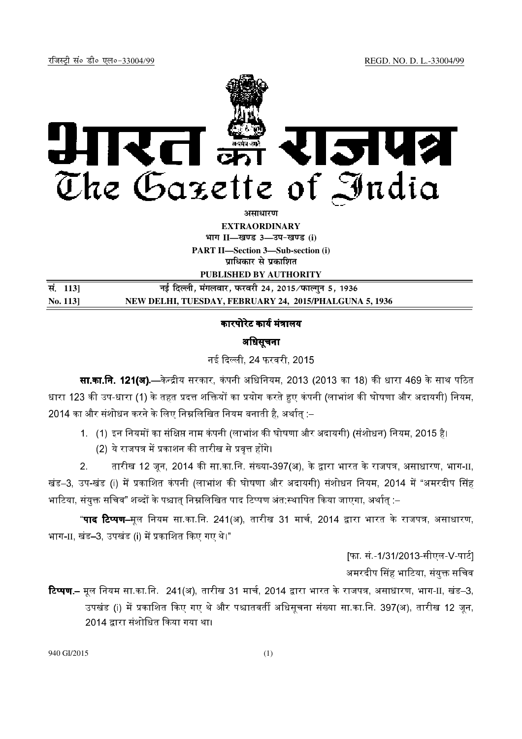

**असाधारण** 

**EXTRAORDINARY**  $4$ **HI<sup>T</sup> II—<br>**  $\frac{1}{2}$  **<b>II** and  $\frac{1}{2}$  and  $\frac{1}{2}$  and  $\frac{1}{2}$  and  $\frac{1}{2}$  and  $\frac{1}{2}$  and  $\frac{1}{2}$  and  $\frac{1}{2}$  and  $\frac{1}{2}$  and  $\frac{1}{2}$  and  $\frac{1}{2}$  and  $\frac{1}{2}$  and  $\frac{1}{2}$  and  $\frac{1}{2}$  and  $\frac{1$ 

**PART II—Section 3—Sub-section (i) प्राधिकार से प्रकाशित** 

**PUBLISHED BY AUTHORITY**

| सं. 1131 | नई दिल्ली, मंगलवार, फरवरी 24, 2015 ∕ फाल्गुन 5, 1936   |
|----------|--------------------------------------------------------|
| No. 113  | NEW DELHI, TUESDAY, FEBRUARY 24, 2015/PHALGUNA 5, 1936 |

## कारपोरेट कार्य मंत्रालय

## अधिसचना

नई दिल्ली, 24 फरवरी, 2015

**सा.का.नि. 121(अ).**—केन्द्रीय सरकार, कंपनी अधिनियम, 2013 (2013 का 18) की धारा 469 के साथ पठित धारा 123 की उप-धारा (1) के तहत प्रदत्त शक्तियों का प्रयोग करते हुए कंपनी (लाभांश की घोषणा और अदायगी) नियम, 2014 का और संशोधन करने के लिए निम्नलिखित नियम बनाती है. अर्थात :–

1. (1) इन नियमों का संक्षिप्त नाम कंपनी (लाभांश की घोषणा और अदायगी) (संशोधन) नियम, 2015 है।

(2) ये राजपत्र में प्रकाशन की तारीख से प्रवत्त होंगे।

2. तारीख 12 जून, 2014 की सा.का.नि. संख्या-397(अ), के द्वारा भारत के राजपत्र, असाधारण, भाग-II, खंड–3, उप-खंड (i) में प्रकाशित कंपनी (लाभांश की घोषणा और अदायगी) संशोधन नियम, 2014 में "अमरदीप सिंह भाटिया, संयुक्त सचिव" शब्दों के पश्चात् निम्नलिखित पाद टिप्पण अंत:स्थापित किया जाएगा, अर्थात् –

"**पाद टिप्पण–**मल नियम सा.का.नि. 241(अ), तारीख 31 मार्च. 2014 द्वारा भारत के राजपत्र, असाधारण, भाग- $\scriptstyle\rm II$ , खंड–3, उपखंड (i) में प्रकाशित किए गए थे।"

> [फा. सं.-1/31/2013-सीएल-V-पार्ट] अमरदीप सिंह भाटिया. संयक्त सचिव

**टिप्पण.–** मूल नियम सा.का.नि. 241(अ), तारीख 31 मार्च, 2014 द्वारा भारत के राजपत्र, असाधारण, भाग-II, खंड–3, उपखंड (i) में प्रकाशित किए गए थे और पश्चातवर्ती अधिसचना संख्या सा.का.नि. 397(अ), तारीख 12 जन. 2014 द्वारा संशोधित किया गया था।